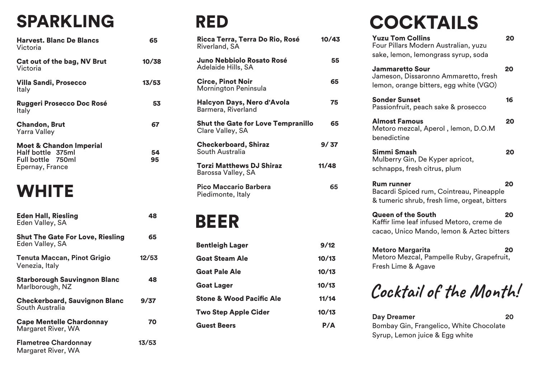| <b>Harvest. Blanc De Blancs</b><br>Victoria                                                     | 65       |
|-------------------------------------------------------------------------------------------------|----------|
| Cat out of the bag, NV Brut<br>Victoria                                                         | 10/38    |
| <b>Villa Sandi, Prosecco</b><br>Italy                                                           | 13/53    |
| <b>Ruggeri Prosecco Doc Rosé</b><br>Italy                                                       | 53       |
| <b>Chandon, Brut</b><br><b>Yarra Valley</b>                                                     | 67       |
| <b>Moet &amp; Chandon Imperial</b><br>Half bottle 375ml<br>Full bottle 750ml<br>Epernay, France | 54<br>95 |

#### **WHITE**

| <b>Eden Hall, Riesling</b><br>Eden Valley, SA              | 48    |
|------------------------------------------------------------|-------|
| <b>Shut The Gate For Love, Riesling</b><br>Eden Valley, SA | 65    |
| <b>Tenuta Maccan, Pinot Grigio</b><br>Venezia, Italy       | 12/53 |
| <b>Starborough Sauvingnon Blanc</b><br>Marlborough, NZ     | 48    |
| <b>Checkerboard, Sauvignon Blanc</b><br>South Australia    | 9/37  |
| <b>Cape Mentelle Chardonnay</b><br>Margaret River, WA      | 70    |
| <b>Flametree Chardonnay</b><br>Margaret River, WA          | 13/53 |

## RED

| Ricca Terra, Terra Do Rio, Rosé<br>Riverland, SA              | 10/43 |
|---------------------------------------------------------------|-------|
| Juno Nebbiolo Rosato Rosé<br>Adelaide Hills, SA               | 55    |
| <b>Circe, Pinot Noir</b><br>Mornington Peninsula              | 65    |
| Halcyon Days, Nero d'Avola<br>Barmera, Riverland              | 75    |
| <b>Shut the Gate for Love Tempranillo</b><br>Clare Valley, SA | 65    |
| <b>Checkerboard, Shiraz</b><br>South Australia                | 9/37  |
| <b>Torzi Matthews DJ Shiraz</b><br>Barossa Valley, SA         | 11/48 |
| <b>Pico Maccario Barbera</b><br>Piedimonte, Italy             | 65    |
| BEER                                                          |       |

| <b>Bentleigh Lager</b>              | 9/12  |
|-------------------------------------|-------|
| <b>Goat Steam Ale</b>               | 10/13 |
| <b>Goat Pale Ale</b>                | 10/13 |
| <b>Goat Lager</b>                   | 10/13 |
| <b>Stone &amp; Wood Pacific Ale</b> | 11/14 |
| <b>Two Step Apple Cider</b>         | 10/13 |
| <b>Guest Beers</b>                  | P/A   |

## SPARKLING RED COCKTAILS

| <b>Yuzu Tom Collins</b><br>Four Pillars Modern Australian, yuzu<br>sake, lemon, lemongrass syrup, soda              | 20 |
|---------------------------------------------------------------------------------------------------------------------|----|
| <b>Jammaretto Sour</b><br>Jameson, Dissaronno Ammaretto, fresh<br>lemon, orange bitters, egg white (VGO)            | 20 |
| <b>Sonder Sunset</b><br>Passionfruit, peach sake & prosecco                                                         | 16 |
| <b>Almost Famous</b><br>Metoro mezcal, Aperol, lemon, D.O.M<br>benedictine                                          | 20 |
| Simmi Smash<br>Mulberry Gin, De Kyper apricot,<br>schnapps, fresh citrus, plum                                      | 20 |
| <b>Rum runner</b><br>Bacardi Spiced rum, Cointreau, Pineapple<br>& tumeric shrub, fresh lime, orgeat, bitters       | 20 |
| <b>Queen of the South</b><br>Kaffir lime leaf infused Metoro, creme de<br>cacao, Unico Mando, Iemon & Aztec bitters | 20 |
| <b>Metoro Margarita</b><br>Metoro Mezcal, Pampelle Ruby, Grapefruit,<br>Fresh Lime & Agave                          | 20 |
| Cocktail of the Month.                                                                                              |    |

| <b>Day Dreamer</b>                      | 20 |
|-----------------------------------------|----|
| Bombay Gin, Frangelico, White Chocolate |    |
| Syrup, Lemon juice & Egg white          |    |